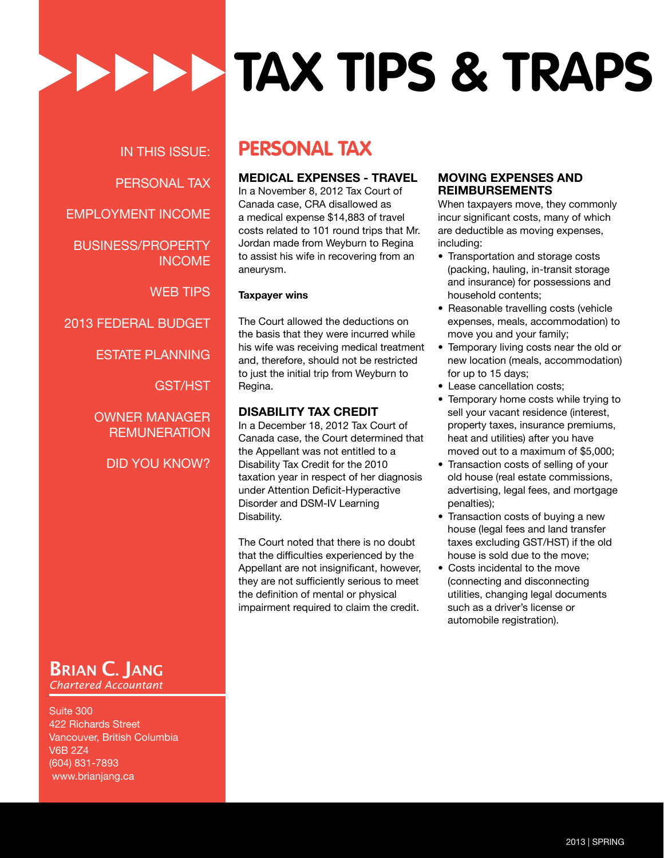IN THIS ISSUE: PERSONAL TAX EMPLOYMENT INCOME BUSINESS/PROPERTY INCOME WEB TIPS 2013 FEDERAL BUDGET

ESTATE PLANNING

GST/HST

OWNER MANAGER **REMUNERATION** 

DID YOU KNOW?

### BRIAN C. JANG *Chartered Accountant*

Suite 300 422 Richards Street Vancouver, British Columbia V6B 2Z4 (604) 831-7893 www.brianjang.ca

### **PERSONAL TAX**

#### **MEDICAL EXPENSES - TRAVEL**

**Tax Tips & Traps**

In a November 8, 2012 Tax Court of Canada case, CRA disallowed as a medical expense \$14,883 of travel costs related to 101 round trips that Mr. Jordan made from Weyburn to Regina to assist his wife in recovering from an aneurysm.

#### **Taxpayer wins**

The Court allowed the deductions on the basis that they were incurred while his wife was receiving medical treatment and, therefore, should not be restricted to just the initial trip from Weyburn to Regina.

#### **DISABILITY TAX CREDIT**

In a December 18, 2012 Tax Court of Canada case, the Court determined that the Appellant was not entitled to a Disability Tax Credit for the 2010 taxation year in respect of her diagnosis under Attention Deficit-Hyperactive Disorder and DSM-IV Learning Disability.

The Court noted that there is no doubt that the difficulties experienced by the Appellant are not insignificant, however, they are not sufficiently serious to meet the definition of mental or physical impairment required to claim the credit.

#### **MOVING EXPENSES AND REIMBURSEMENTS**

When taxpayers move, they commonly incur significant costs, many of which are deductible as moving expenses, including:

- Transportation and storage costs (packing, hauling, in-transit storage and insurance) for possessions and household contents;
- Reasonable travelling costs (vehicle expenses, meals, accommodation) to move you and your family;
- Temporary living costs near the old or new location (meals, accommodation) for up to 15 days;
- Lease cancellation costs;
- Temporary home costs while trying to sell your vacant residence (interest, property taxes, insurance premiums, heat and utilities) after you have moved out to a maximum of \$5,000;
- Transaction costs of selling of your old house (real estate commissions, advertising, legal fees, and mortgage penalties);
- Transaction costs of buying a new house (legal fees and land transfer taxes excluding GST/HST) if the old house is sold due to the move;
- Costs incidental to the move (connecting and disconnecting utilities, changing legal documents such as a driver's license or automobile registration).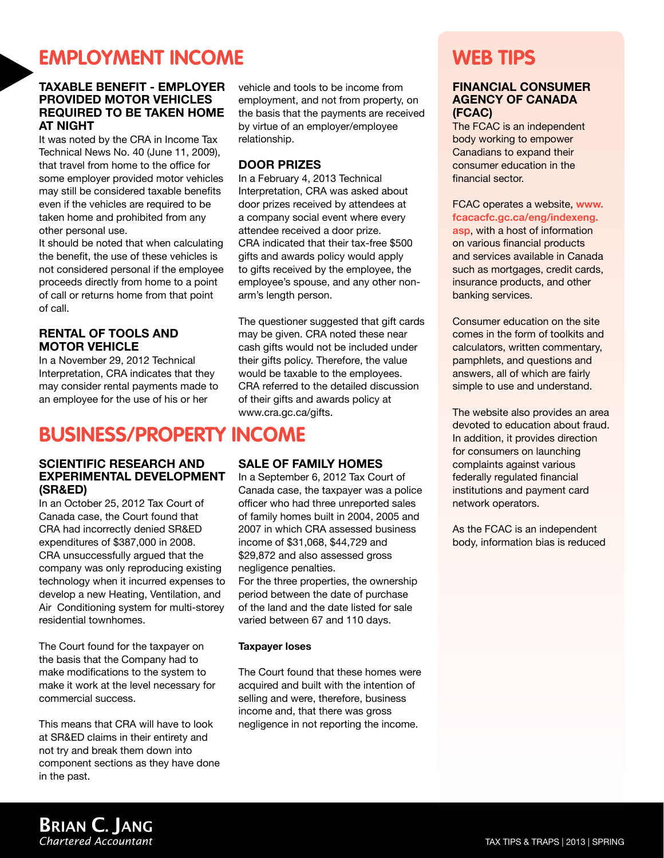### **Employment Income**

#### **TAXABLE BENEFIT - EMPLOYER PROVIDED MOTOR VEHICLES REQUIRED TO BE TAKEN HOME AT NIGHT**

It was noted by the CRA in Income Tax Technical News No. 40 (June 11, 2009), that travel from home to the office for some employer provided motor vehicles may still be considered taxable benefits even if the vehicles are required to be taken home and prohibited from any other personal use.

It should be noted that when calculating the benefit, the use of these vehicles is not considered personal if the employee proceeds directly from home to a point of call or returns home from that point of call.

#### **RENTAL OF TOOLS AND MOTOR VEHICLE**

In a November 29, 2012 Technical Interpretation, CRA indicates that they may consider rental payments made to an employee for the use of his or her

### **BUSINESS/PROPERTY INCOME**

#### **SCIENTIFIC RESEARCH AND EXPERIMENTAL DEVELOPMENT (SR&ED)**

In an October 25, 2012 Tax Court of Canada case, the Court found that CRA had incorrectly denied SR&ED expenditures of \$387,000 in 2008. CRA unsuccessfully argued that the company was only reproducing existing technology when it incurred expenses to develop a new Heating, Ventilation, and Air Conditioning system for multi-storey residential townhomes.

The Court found for the taxpayer on the basis that the Company had to make modifications to the system to make it work at the level necessary for commercial success.

This means that CRA will have to look at SR&ED claims in their entirety and not try and break them down into component sections as they have done in the past.

vehicle and tools to be income from employment, and not from property, on the basis that the payments are received by virtue of an employer/employee relationship.

#### **DOOR PRIZES**

In a February 4, 2013 Technical Interpretation, CRA was asked about door prizes received by attendees at a company social event where every attendee received a door prize. CRA indicated that their tax-free \$500 gifts and awards policy would apply to gifts received by the employee, the employee's spouse, and any other nonarm's length person.

The questioner suggested that gift cards may be given. CRA noted these near cash gifts would not be included under their gifts policy. Therefore, the value would be taxable to the employees. CRA referred to the detailed discussion of their gifts and awards policy at www.cra.gc.ca/gifts.

#### **SALE OF FAMILY HOMES**

In a September 6, 2012 Tax Court of Canada case, the taxpayer was a police officer who had three unreported sales of family homes built in 2004, 2005 and 2007 in which CRA assessed business income of \$31,068, \$44,729 and \$29,872 and also assessed gross negligence penalties. For the three properties, the ownership

period between the date of purchase of the land and the date listed for sale varied between 67 and 110 days.

#### **Taxpayer loses**

The Court found that these homes were acquired and built with the intention of selling and were, therefore, business income and, that there was gross negligence in not reporting the income.

# **WEB TIPS**

#### **FINANCIAL CONSUMER AGENCY OF CANADA (FCAC)**

The FCAC is an independent body working to empower Canadians to expand their consumer education in the financial sector.

#### FCAC operates a website, **www. fcacacfc.gc.ca/eng/indexeng.**

**asp**, with a host of information on various financial products and services available in Canada such as mortgages, credit cards, insurance products, and other banking services.

Consumer education on the site comes in the form of toolkits and calculators, written commentary, pamphlets, and questions and answers, all of which are fairly simple to use and understand.

The website also provides an area devoted to education about fraud. In addition, it provides direction for consumers on launching complaints against various federally regulated financial institutions and payment card network operators.

As the FCAC is an independent body, information bias is reduced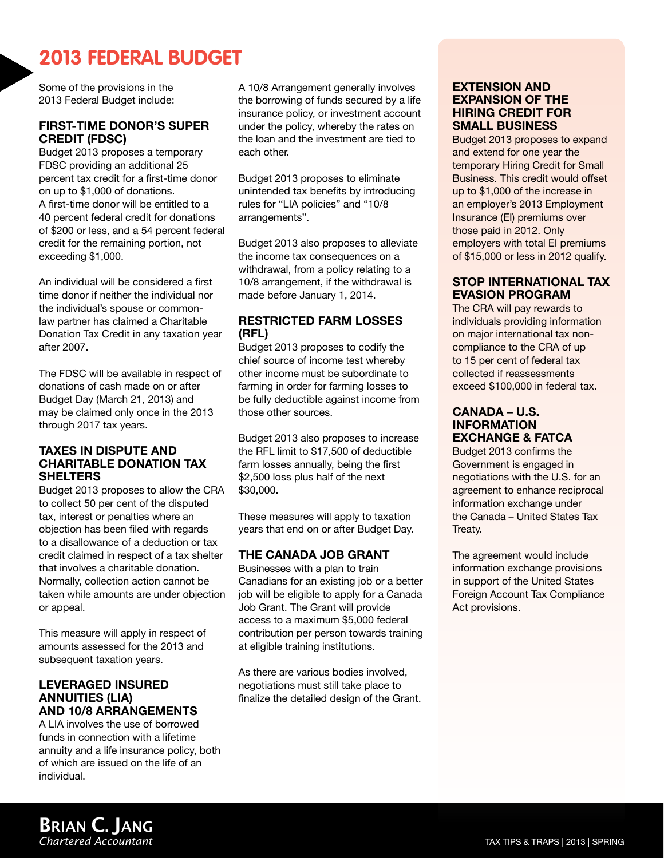### **2013 FEDERAL BUDGET**

Some of the provisions in the 2013 Federal Budget include:

#### **First-Time Donor's Super Credit (FDSC)**

Budget 2013 proposes a temporary FDSC providing an additional 25 percent tax credit for a first-time donor on up to \$1,000 of donations. A first-time donor will be entitled to a 40 percent federal credit for donations of \$200 or less, and a 54 percent federal credit for the remaining portion, not exceeding \$1,000.

An individual will be considered a first time donor if neither the individual nor the individual's spouse or commonlaw partner has claimed a Charitable Donation Tax Credit in any taxation year after 2007.

The FDSC will be available in respect of donations of cash made on or after Budget Day (March 21, 2013) and may be claimed only once in the 2013 through 2017 tax years.

#### **Taxes in Dispute and Charitable Donation Tax Shelters**

Budget 2013 proposes to allow the CRA to collect 50 per cent of the disputed tax, interest or penalties where an objection has been filed with regards to a disallowance of a deduction or tax credit claimed in respect of a tax shelter that involves a charitable donation. Normally, collection action cannot be taken while amounts are under objection or appeal.

This measure will apply in respect of amounts assessed for the 2013 and subsequent taxation years.

#### **Leveraged Insured Annuities (LIA) and 10/8 Arrangements**

A LIA involves the use of borrowed funds in connection with a lifetime annuity and a life insurance policy, both of which are issued on the life of an individual.

A 10/8 Arrangement generally involves the borrowing of funds secured by a life insurance policy, or investment account under the policy, whereby the rates on the loan and the investment are tied to each other.

Budget 2013 proposes to eliminate unintended tax benefits by introducing rules for "LIA policies" and "10/8 arrangements".

Budget 2013 also proposes to alleviate the income tax consequences on a withdrawal, from a policy relating to a 10/8 arrangement, if the withdrawal is made before January 1, 2014.

#### **Restricted Farm Losses (RFL)**

Budget 2013 proposes to codify the chief source of income test whereby other income must be subordinate to farming in order for farming losses to be fully deductible against income from those other sources.

Budget 2013 also proposes to increase the RFL limit to \$17,500 of deductible farm losses annually, being the first \$2,500 loss plus half of the next \$30,000.

These measures will apply to taxation years that end on or after Budget Day.

#### **The Canada Job Grant**

Businesses with a plan to train Canadians for an existing job or a better job will be eligible to apply for a Canada Job Grant. The Grant will provide access to a maximum \$5,000 federal contribution per person towards training at eligible training institutions.

As there are various bodies involved, negotiations must still take place to finalize the detailed design of the Grant.

#### **Extension and Expansion of the Hiring Credit for Small Business**

Budget 2013 proposes to expand and extend for one year the temporary Hiring Credit for Small Business. This credit would offset up to \$1,000 of the increase in an employer's 2013 Employment Insurance (EI) premiums over those paid in 2012. Only employers with total EI premiums of \$15,000 or less in 2012 qualify.

#### **Stop International Tax Evasion Program**

The CRA will pay rewards to individuals providing information on major international tax noncompliance to the CRA of up to 15 per cent of federal tax collected if reassessments exceed \$100,000 in federal tax.

#### **Canada – U.S. Information Exchange & FATCA**

Budget 2013 confirms the Government is engaged in negotiations with the U.S. for an agreement to enhance reciprocal information exchange under the Canada – United States Tax Treaty.

The agreement would include information exchange provisions in support of the United States Foreign Account Tax Compliance Act provisions.

### BRIAN C. JANG *Chartered Accountant*